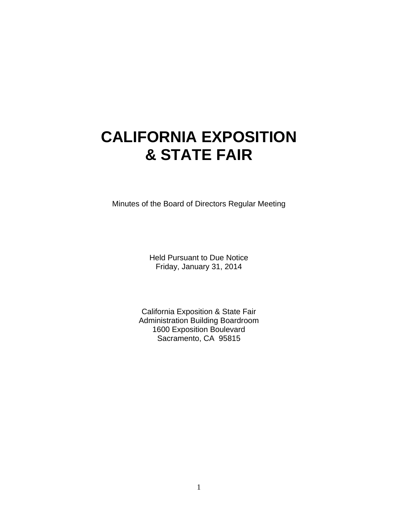# **CALIFORNIA EXPOSITION & STATE FAIR**

Minutes of the Board of Directors Regular Meeting

Held Pursuant to Due Notice Friday, January 31, 2014

California Exposition & State Fair Administration Building Boardroom 1600 Exposition Boulevard Sacramento, CA 95815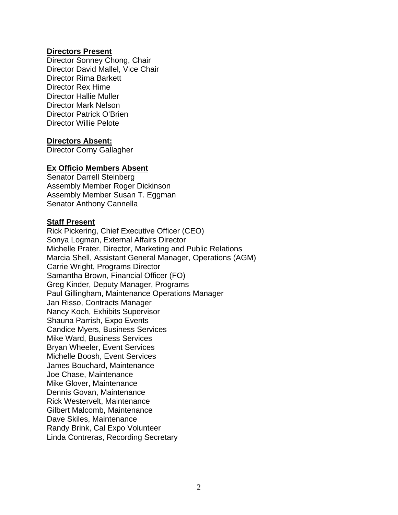## **Directors Present**

Director Sonney Chong, Chair Director David Mallel, Vice Chair Director Rima Barkett Director Rex Hime Director Hallie Muller Director Mark Nelson Director Patrick O'Brien Director Willie Pelote

## **Directors Absent:**

Director Corny Gallagher

#### **Ex Officio Members Absent**

Senator Darrell Steinberg Assembly Member Roger Dickinson Assembly Member Susan T. Eggman Senator Anthony Cannella

## **Staff Present**

Rick Pickering, Chief Executive Officer (CEO) Sonya Logman, External Affairs Director Michelle Prater, Director, Marketing and Public Relations Marcia Shell, Assistant General Manager, Operations (AGM) Carrie Wright, Programs Director Samantha Brown, Financial Officer (FO) Greg Kinder, Deputy Manager, Programs Paul Gillingham, Maintenance Operations Manager Jan Risso, Contracts Manager Nancy Koch, Exhibits Supervisor Shauna Parrish, Expo Events Candice Myers, Business Services Mike Ward, Business Services Bryan Wheeler, Event Services Michelle Boosh, Event Services James Bouchard, Maintenance Joe Chase, Maintenance Mike Glover, Maintenance Dennis Govan, Maintenance Rick Westervelt, Maintenance Gilbert Malcomb, Maintenance Dave Skiles, Maintenance Randy Brink, Cal Expo Volunteer Linda Contreras, Recording Secretary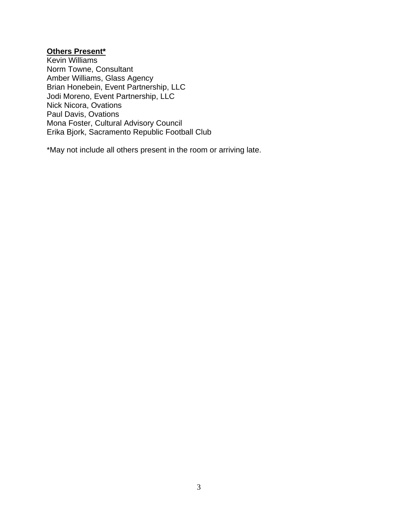# **Others Present\***

Kevin Williams Norm Towne, Consultant Amber Williams, Glass Agency Brian Honebein, Event Partnership, LLC Jodi Moreno, Event Partnership, LLC Nick Nicora, Ovations Paul Davis, Ovations Mona Foster, Cultural Advisory Council Erika Bjork, Sacramento Republic Football Club

\*May not include all others present in the room or arriving late.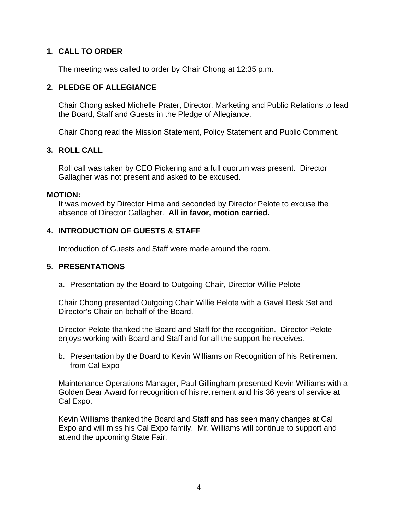# **1. CALL TO ORDER**

The meeting was called to order by Chair Chong at 12:35 p.m.

## **2. PLEDGE OF ALLEGIANCE**

Chair Chong asked Michelle Prater, Director, Marketing and Public Relations to lead the Board, Staff and Guests in the Pledge of Allegiance.

Chair Chong read the Mission Statement, Policy Statement and Public Comment.

## **3. ROLL CALL**

Roll call was taken by CEO Pickering and a full quorum was present. Director Gallagher was not present and asked to be excused.

#### **MOTION:**

It was moved by Director Hime and seconded by Director Pelote to excuse the absence of Director Gallagher. **All in favor, motion carried.** 

## **4. INTRODUCTION OF GUESTS & STAFF**

Introduction of Guests and Staff were made around the room.

## **5. PRESENTATIONS**

a. Presentation by the Board to Outgoing Chair, Director Willie Pelote

Chair Chong presented Outgoing Chair Willie Pelote with a Gavel Desk Set and Director's Chair on behalf of the Board.

Director Pelote thanked the Board and Staff for the recognition. Director Pelote enjoys working with Board and Staff and for all the support he receives.

b. Presentation by the Board to Kevin Williams on Recognition of his Retirement from Cal Expo

Maintenance Operations Manager, Paul Gillingham presented Kevin Williams with a Golden Bear Award for recognition of his retirement and his 36 years of service at Cal Expo.

Kevin Williams thanked the Board and Staff and has seen many changes at Cal Expo and will miss his Cal Expo family. Mr. Williams will continue to support and attend the upcoming State Fair.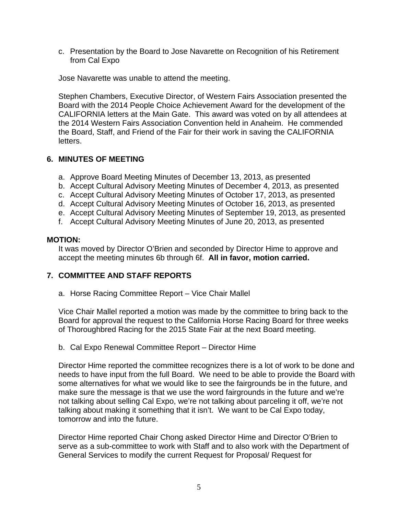c. Presentation by the Board to Jose Navarette on Recognition of his Retirement from Cal Expo

Jose Navarette was unable to attend the meeting.

Stephen Chambers, Executive Director, of Western Fairs Association presented the Board with the 2014 People Choice Achievement Award for the development of the CALIFORNIA letters at the Main Gate. This award was voted on by all attendees at the 2014 Western Fairs Association Convention held in Anaheim. He commended the Board, Staff, and Friend of the Fair for their work in saving the CALIFORNIA letters.

## **6. MINUTES OF MEETING**

- a. Approve Board Meeting Minutes of December 13, 2013, as presented
- b. Accept Cultural Advisory Meeting Minutes of December 4, 2013, as presented
- c. Accept Cultural Advisory Meeting Minutes of October 17, 2013, as presented
- d. Accept Cultural Advisory Meeting Minutes of October 16, 2013, as presented
- e. Accept Cultural Advisory Meeting Minutes of September 19, 2013, as presented
- f. Accept Cultural Advisory Meeting Minutes of June 20, 2013, as presented

## **MOTION:**

It was moved by Director O'Brien and seconded by Director Hime to approve and accept the meeting minutes 6b through 6f. **All in favor, motion carried.** 

## **7. COMMITTEE AND STAFF REPORTS**

a. Horse Racing Committee Report – Vice Chair Mallel

Vice Chair Mallel reported a motion was made by the committee to bring back to the Board for approval the request to the California Horse Racing Board for three weeks of Thoroughbred Racing for the 2015 State Fair at the next Board meeting.

## b. Cal Expo Renewal Committee Report – Director Hime

Director Hime reported the committee recognizes there is a lot of work to be done and needs to have input from the full Board. We need to be able to provide the Board with some alternatives for what we would like to see the fairgrounds be in the future, and make sure the message is that we use the word fairgrounds in the future and we're not talking about selling Cal Expo, we're not talking about parceling it off, we're not talking about making it something that it isn't. We want to be Cal Expo today, tomorrow and into the future.

Director Hime reported Chair Chong asked Director Hime and Director O'Brien to serve as a sub-committee to work with Staff and to also work with the Department of General Services to modify the current Request for Proposal/ Request for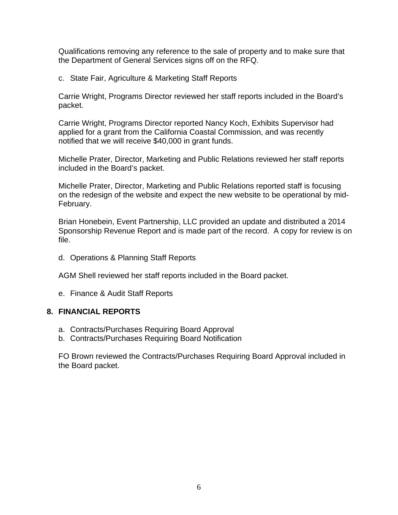Qualifications removing any reference to the sale of property and to make sure that the Department of General Services signs off on the RFQ.

c. State Fair, Agriculture & Marketing Staff Reports

Carrie Wright, Programs Director reviewed her staff reports included in the Board's packet.

Carrie Wright, Programs Director reported Nancy Koch, Exhibits Supervisor had applied for a grant from the California Coastal Commission, and was recently notified that we will receive \$40,000 in grant funds.

Michelle Prater, Director, Marketing and Public Relations reviewed her staff reports included in the Board's packet.

Michelle Prater, Director, Marketing and Public Relations reported staff is focusing on the redesign of the website and expect the new website to be operational by mid-February.

Brian Honebein, Event Partnership, LLC provided an update and distributed a 2014 Sponsorship Revenue Report and is made part of the record. A copy for review is on file.

d. Operations & Planning Staff Reports

AGM Shell reviewed her staff reports included in the Board packet.

e. Finance & Audit Staff Reports

## **8. FINANCIAL REPORTS**

- a. Contracts/Purchases Requiring Board Approval
- b. Contracts/Purchases Requiring Board Notification

FO Brown reviewed the Contracts/Purchases Requiring Board Approval included in the Board packet.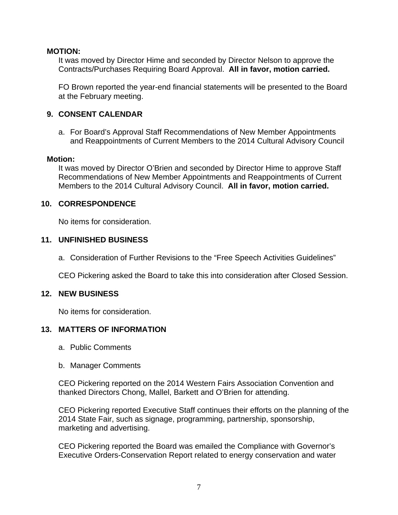## **MOTION:**

It was moved by Director Hime and seconded by Director Nelson to approve the Contracts/Purchases Requiring Board Approval. **All in favor, motion carried.** 

FO Brown reported the year-end financial statements will be presented to the Board at the February meeting.

# **9. CONSENT CALENDAR**

a. For Board's Approval Staff Recommendations of New Member Appointments and Reappointments of Current Members to the 2014 Cultural Advisory Council

# **Motion:**

It was moved by Director O'Brien and seconded by Director Hime to approve Staff Recommendations of New Member Appointments and Reappointments of Current Members to the 2014 Cultural Advisory Council. **All in favor, motion carried.** 

# **10. CORRESPONDENCE**

No items for consideration.

# **11. UNFINISHED BUSINESS**

a. Consideration of Further Revisions to the "Free Speech Activities Guidelines"

CEO Pickering asked the Board to take this into consideration after Closed Session.

# **12. NEW BUSINESS**

No items for consideration.

# **13. MATTERS OF INFORMATION**

- a. Public Comments
- b. Manager Comments

CEO Pickering reported on the 2014 Western Fairs Association Convention and thanked Directors Chong, Mallel, Barkett and O'Brien for attending.

CEO Pickering reported Executive Staff continues their efforts on the planning of the 2014 State Fair, such as signage, programming, partnership, sponsorship, marketing and advertising.

CEO Pickering reported the Board was emailed the Compliance with Governor's Executive Orders-Conservation Report related to energy conservation and water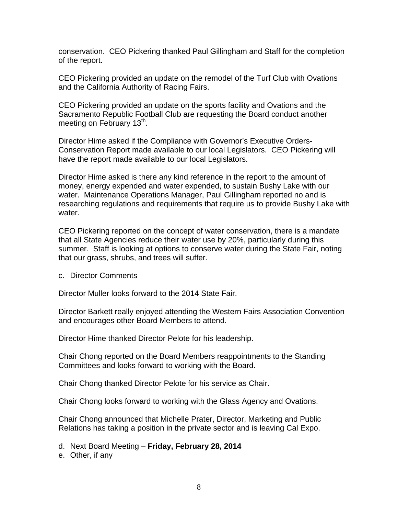conservation. CEO Pickering thanked Paul Gillingham and Staff for the completion of the report.

CEO Pickering provided an update on the remodel of the Turf Club with Ovations and the California Authority of Racing Fairs.

CEO Pickering provided an update on the sports facility and Ovations and the Sacramento Republic Football Club are requesting the Board conduct another meeting on February 13<sup>th</sup>.

Director Hime asked if the Compliance with Governor's Executive Orders-Conservation Report made available to our local Legislators. CEO Pickering will have the report made available to our local Legislators.

Director Hime asked is there any kind reference in the report to the amount of money, energy expended and water expended, to sustain Bushy Lake with our water. Maintenance Operations Manager, Paul Gillingham reported no and is researching regulations and requirements that require us to provide Bushy Lake with water.

CEO Pickering reported on the concept of water conservation, there is a mandate that all State Agencies reduce their water use by 20%, particularly during this summer. Staff is looking at options to conserve water during the State Fair, noting that our grass, shrubs, and trees will suffer.

c. Director Comments

Director Muller looks forward to the 2014 State Fair.

Director Barkett really enjoyed attending the Western Fairs Association Convention and encourages other Board Members to attend.

Director Hime thanked Director Pelote for his leadership.

Chair Chong reported on the Board Members reappointments to the Standing Committees and looks forward to working with the Board.

Chair Chong thanked Director Pelote for his service as Chair.

Chair Chong looks forward to working with the Glass Agency and Ovations.

Chair Chong announced that Michelle Prater, Director, Marketing and Public Relations has taking a position in the private sector and is leaving Cal Expo.

d. Next Board Meeting – **Friday, February 28, 2014**

e. Other, if any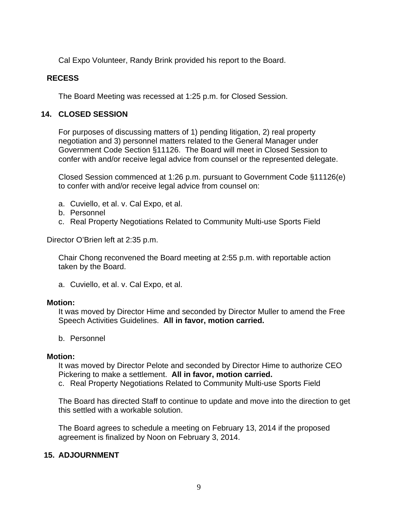Cal Expo Volunteer, Randy Brink provided his report to the Board.

## **RECESS**

The Board Meeting was recessed at 1:25 p.m. for Closed Session.

# **14. CLOSED SESSION**

For purposes of discussing matters of 1) pending litigation, 2) real property negotiation and 3) personnel matters related to the General Manager under Government Code Section §11126. The Board will meet in Closed Session to confer with and/or receive legal advice from counsel or the represented delegate.

Closed Session commenced at 1:26 p.m. pursuant to Government Code §11126(e) to confer with and/or receive legal advice from counsel on:

- a. Cuviello, et al. v. Cal Expo, et al.
- b. Personnel
- c. Real Property Negotiations Related to Community Multi-use Sports Field

Director O'Brien left at 2:35 p.m.

Chair Chong reconvened the Board meeting at 2:55 p.m. with reportable action taken by the Board.

a. Cuviello, et al. v. Cal Expo, et al.

#### **Motion:**

It was moved by Director Hime and seconded by Director Muller to amend the Free Speech Activities Guidelines. **All in favor, motion carried.** 

b. Personnel

#### **Motion:**

It was moved by Director Pelote and seconded by Director Hime to authorize CEO Pickering to make a settlement. **All in favor, motion carried.** 

c. Real Property Negotiations Related to Community Multi-use Sports Field

The Board has directed Staff to continue to update and move into the direction to get this settled with a workable solution.

The Board agrees to schedule a meeting on February 13, 2014 if the proposed agreement is finalized by Noon on February 3, 2014.

# **15. ADJOURNMENT**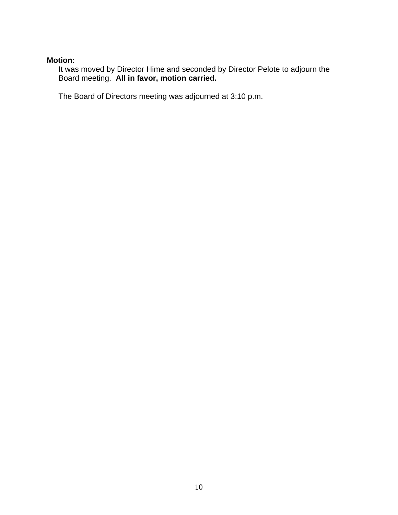# **Motion:**

It was moved by Director Hime and seconded by Director Pelote to adjourn the Board meeting. **All in favor, motion carried.** 

The Board of Directors meeting was adjourned at 3:10 p.m.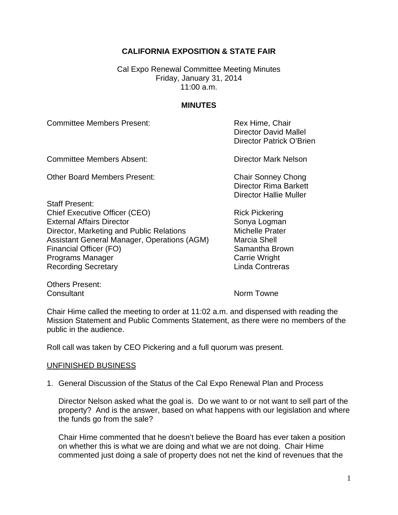# **CALIFORNIA EXPOSITION & STATE FAIR**

Cal Expo Renewal Committee Meeting Minutes Friday, January 31, 2014 11:00 a.m.

## **MINUTES**

Committee Members Present: The Committee Members Present: Rex Hime, Chair

Committee Members Absent: Director Mark Nelson

Other Board Members Present: Chair Sonney Chong

Staff Present: Chief Executive Officer (CEO) Rick Pickering External Affairs Director Sonya Logman Director, Marketing and Public Relations Michelle Prater Assistant General Manager, Operations (AGM) Marcia Shell Financial Officer (FO) Samantha Brown Programs Manager **Carrie Wright** Carrie Wright Recording Secretary **Linda Contreras** 

 Director David Mallel Director Patrick O'Brien

Director Rima Barkett Director Hallie Muller

Others Present: Consultant **Norm Towne** 

Chair Hime called the meeting to order at 11:02 a.m. and dispensed with reading the Mission Statement and Public Comments Statement, as there were no members of the public in the audience.

Roll call was taken by CEO Pickering and a full quorum was present.

#### UNFINISHED BUSINESS

1. General Discussion of the Status of the Cal Expo Renewal Plan and Process

Director Nelson asked what the goal is. Do we want to or not want to sell part of the property? And is the answer, based on what happens with our legislation and where the funds go from the sale?

Chair Hime commented that he doesn't believe the Board has ever taken a position on whether this is what we are doing and what we are not doing. Chair Hime commented just doing a sale of property does not net the kind of revenues that the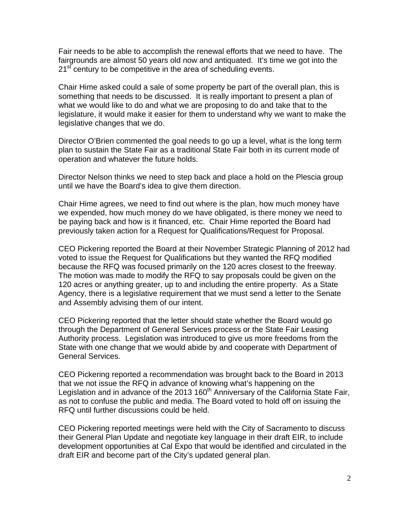Fair needs to be able to accomplish the renewal efforts that we need to have. The fairgrounds are almost 50 years old now and antiquated. It's time we got into the  $21<sup>st</sup>$  century to be competitive in the area of scheduling events.

Chair Hime asked could a sale of some property be part of the overall plan, this is something that needs to be discussed. It is really important to present a plan of what we would like to do and what we are proposing to do and take that to the legislature, it would make it easier for them to understand why we want to make the legislative changes that we do.

Director O'Brien commented the goal needs to go up a level, what is the long term plan to sustain the State Fair as a traditional State Fair both in its current mode of operation and whatever the future holds.

Director Nelson thinks we need to step back and place a hold on the Plescia group until we have the Board's idea to give them direction.

Chair Hime agrees, we need to find out where is the plan, how much money have we expended, how much money do we have obligated, is there money we need to be paying back and how is it financed, etc. Chair Hime reported the Board had previously taken action for a Request for Qualifications/Request for Proposal.

CEO Pickering reported the Board at their November Strategic Planning of 2012 had voted to issue the Request for Qualifications but they wanted the RFQ modified because the RFQ was focused primarily on the 120 acres closest to the freeway. The motion was made to modify the RFQ to say proposals could be given on the 120 acres or anything greater, up to and including the entire property. As a State Agency, there is a legislative requirement that we must send a letter to the Senate and Assembly advising them of our intent.

CEO Pickering reported that the letter should state whether the Board would go through the Department of General Services process or the State Fair Leasing Authority process. Legislation was introduced to give us more freedoms from the State with one change that we would abide by and cooperate with Department of General Services.

CEO Pickering reported a recommendation was brought back to the Board in 2013 that we not issue the RFQ in advance of knowing what's happening on the Legislation and in advance of the 2013 160<sup>th</sup> Anniversary of the California State Fair, as not to confuse the public and media. The Board voted to hold off on issuing the RFQ until further discussions could be held.

CEO Pickering reported meetings were held with the City of Sacramento to discuss their General Plan Update and negotiate key language in their draft EIR, to include development opportunities at Cal Expo that would be identified and circulated in the draft EIR and become part of the City's updated general plan.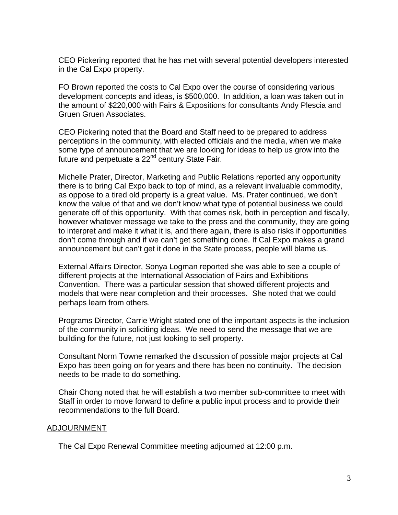CEO Pickering reported that he has met with several potential developers interested in the Cal Expo property.

FO Brown reported the costs to Cal Expo over the course of considering various development concepts and ideas, is \$500,000. In addition, a loan was taken out in the amount of \$220,000 with Fairs & Expositions for consultants Andy Plescia and Gruen Gruen Associates.

CEO Pickering noted that the Board and Staff need to be prepared to address perceptions in the community, with elected officials and the media, when we make some type of announcement that we are looking for ideas to help us grow into the future and perpetuate a 22<sup>nd</sup> century State Fair.

Michelle Prater, Director, Marketing and Public Relations reported any opportunity there is to bring Cal Expo back to top of mind, as a relevant invaluable commodity, as oppose to a tired old property is a great value. Ms. Prater continued, we don't know the value of that and we don't know what type of potential business we could generate off of this opportunity. With that comes risk, both in perception and fiscally, however whatever message we take to the press and the community, they are going to interpret and make it what it is, and there again, there is also risks if opportunities don't come through and if we can't get something done. If Cal Expo makes a grand announcement but can't get it done in the State process, people will blame us.

External Affairs Director, Sonya Logman reported she was able to see a couple of different projects at the International Association of Fairs and Exhibitions Convention. There was a particular session that showed different projects and models that were near completion and their processes. She noted that we could perhaps learn from others.

Programs Director, Carrie Wright stated one of the important aspects is the inclusion of the community in soliciting ideas. We need to send the message that we are building for the future, not just looking to sell property.

Consultant Norm Towne remarked the discussion of possible major projects at Cal Expo has been going on for years and there has been no continuity. The decision needs to be made to do something.

Chair Chong noted that he will establish a two member sub-committee to meet with Staff in order to move forward to define a public input process and to provide their recommendations to the full Board.

## ADJOURNMENT

The Cal Expo Renewal Committee meeting adjourned at 12:00 p.m.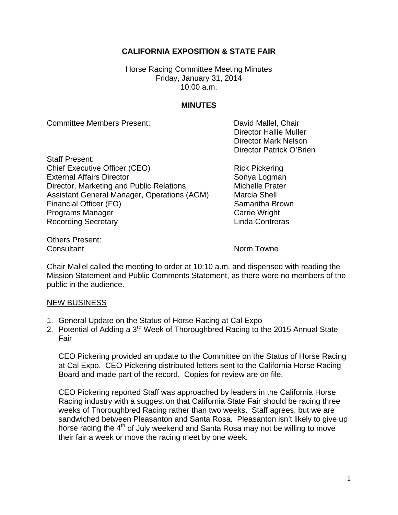# **CALIFORNIA EXPOSITION & STATE FAIR**

Horse Racing Committee Meeting Minutes Friday, January 31, 2014 10:00 a.m.

## **MINUTES**

Committee Members Present: David Mallel, Chair

 Director Hallie Muller Director Mark Nelson Director Patrick O'Brien

Staff Present: Chief Executive Officer (CEO) Rick Pickering External Affairs Director Sonya Logman Director, Marketing and Public Relations Michelle Prater Assistant General Manager, Operations (AGM) Marcia Shell Financial Officer (FO) Samantha Brown Programs Manager **Carrie Wright** Carrie Wright Recording Secretary **Contrest Executes** Linda Contreras

Others Present: **Consultant** Consultant Norm Towne

Chair Mallel called the meeting to order at 10:10 a.m. and dispensed with reading the Mission Statement and Public Comments Statement, as there were no members of the public in the audience.

#### NEW BUSINESS

- 1. General Update on the Status of Horse Racing at Cal Expo
- 2. Potential of Adding a 3<sup>rd</sup> Week of Thoroughbred Racing to the 2015 Annual State Fair

CEO Pickering provided an update to the Committee on the Status of Horse Racing at Cal Expo. CEO Pickering distributed letters sent to the California Horse Racing Board and made part of the record. Copies for review are on file.

CEO Pickering reported Staff was approached by leaders in the California Horse Racing industry with a suggestion that California State Fair should be racing three weeks of Thoroughbred Racing rather than two weeks. Staff agrees, but we are sandwiched between Pleasanton and Santa Rosa. Pleasanton isn't likely to give up horse racing the  $4<sup>th</sup>$  of July weekend and Santa Rosa may not be willing to move their fair a week or move the racing meet by one week.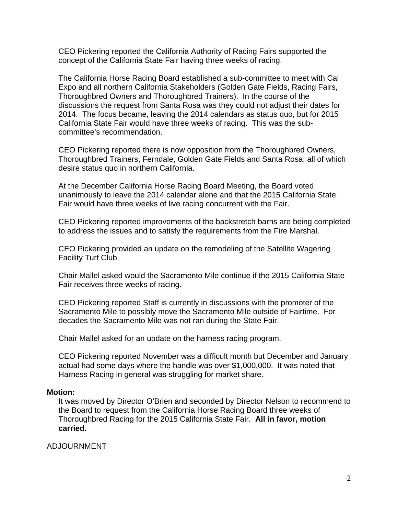CEO Pickering reported the California Authority of Racing Fairs supported the concept of the California State Fair having three weeks of racing.

The California Horse Racing Board established a sub-committee to meet with Cal Expo and all northern California Stakeholders (Golden Gate Fields, Racing Fairs, Thoroughbred Owners and Thoroughbred Trainers). In the course of the discussions the request from Santa Rosa was they could not adjust their dates for 2014. The focus became, leaving the 2014 calendars as status quo, but for 2015 California State Fair would have three weeks of racing. This was the subcommittee's recommendation.

CEO Pickering reported there is now opposition from the Thoroughbred Owners, Thoroughbred Trainers, Ferndale, Golden Gate Fields and Santa Rosa, all of which desire status quo in northern California.

At the December California Horse Racing Board Meeting, the Board voted unanimously to leave the 2014 calendar alone and that the 2015 California State Fair would have three weeks of live racing concurrent with the Fair.

CEO Pickering reported improvements of the backstretch barns are being completed to address the issues and to satisfy the requirements from the Fire Marshal.

CEO Pickering provided an update on the remodeling of the Satellite Wagering Facility Turf Club.

Chair Mallel asked would the Sacramento Mile continue if the 2015 California State Fair receives three weeks of racing.

CEO Pickering reported Staff is currently in discussions with the promoter of the Sacramento Mile to possibly move the Sacramento Mile outside of Fairtime. For decades the Sacramento Mile was not ran during the State Fair.

Chair Mallel asked for an update on the harness racing program.

CEO Pickering reported November was a difficult month but December and January actual had some days where the handle was over \$1,000,000. It was noted that Harness Racing in general was struggling for market share.

#### **Motion:**

It was moved by Director O'Brien and seconded by Director Nelson to recommend to the Board to request from the California Horse Racing Board three weeks of Thoroughbred Racing for the 2015 California State Fair. **All in favor, motion carried.**

## ADJOURNMENT